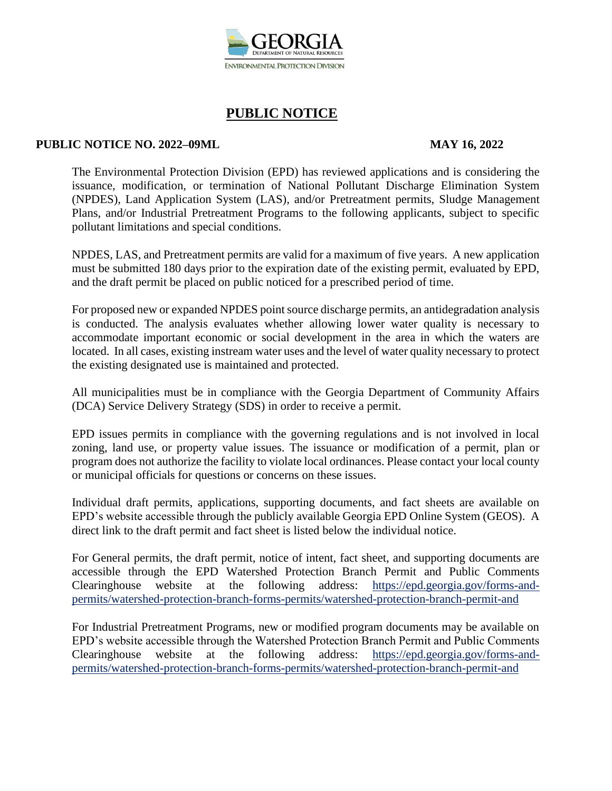

#### **PUBLIC NOTICE NO. 2022–09ML MAY 16, 2022**

The Environmental Protection Division (EPD) has reviewed applications and is considering the issuance, modification, or termination of National Pollutant Discharge Elimination System (NPDES), Land Application System (LAS), and/or Pretreatment permits, Sludge Management Plans, and/or Industrial Pretreatment Programs to the following applicants, subject to specific pollutant limitations and special conditions.

NPDES, LAS, and Pretreatment permits are valid for a maximum of five years. A new application must be submitted 180 days prior to the expiration date of the existing permit, evaluated by EPD, and the draft permit be placed on public noticed for a prescribed period of time.

For proposed new or expanded NPDES point source discharge permits, an antidegradation analysis is conducted. The analysis evaluates whether allowing lower water quality is necessary to accommodate important economic or social development in the area in which the waters are located. In all cases, existing instream water uses and the level of water quality necessary to protect the existing designated use is maintained and protected.

All municipalities must be in compliance with the Georgia Department of Community Affairs (DCA) Service Delivery Strategy (SDS) in order to receive a permit.

EPD issues permits in compliance with the governing regulations and is not involved in local zoning, land use, or property value issues. The issuance or modification of a permit, plan or program does not authorize the facility to violate local ordinances. Please contact your local county or municipal officials for questions or concerns on these issues.

Individual draft permits, applications, supporting documents, and fact sheets are available on EPD's website accessible through the publicly available Georgia EPD Online System (GEOS). A direct link to the draft permit and fact sheet is listed below the individual notice.

For General permits, the draft permit, notice of intent, fact sheet, and supporting documents are accessible through the EPD Watershed Protection Branch Permit and Public Comments Clearinghouse website at the following address: https://epd.georgia.gov/forms-andpermits/watershed-protection-branch-forms-permits/watershed-protection-branch-permit-and

For Industrial Pretreatment Programs, new or modified program documents may be available on EPD's website accessible through the Watershed Protection Branch Permit and Public Comments Clearinghouse website at the following address: https://epd.georgia.gov/forms-andpermits/watershed-protection-branch-forms-permits/watershed-protection-branch-permit-and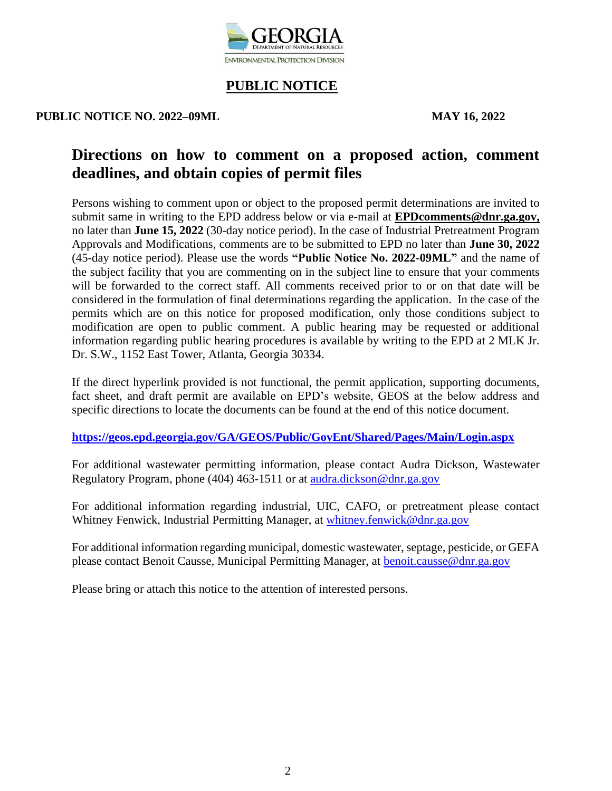

#### **PUBLIC NOTICE NO. 2022–09ML MAY 16, 2022**

# **Directions on how to comment on a proposed action, comment deadlines, and obtain copies of permit files**

Persons wishing to comment upon or object to the proposed permit determinations are invited to submit same in writing to the EPD address below or via e-mail at **EPDcomments@dnr.ga.gov,** no later than **June 15, 2022** (30-day notice period). In the case of Industrial Pretreatment Program Approvals and Modifications, comments are to be submitted to EPD no later than **June 30, 2022** (45-day notice period). Please use the words **"Public Notice No. 2022-09ML"** and the name of the subject facility that you are commenting on in the subject line to ensure that your comments will be forwarded to the correct staff. All comments received prior to or on that date will be considered in the formulation of final determinations regarding the application. In the case of the permits which are on this notice for proposed modification, only those conditions subject to modification are open to public comment. A public hearing may be requested or additional information regarding public hearing procedures is available by writing to the EPD at 2 MLK Jr. Dr. S.W., 1152 East Tower, Atlanta, Georgia 30334.

If the direct hyperlink provided is not functional, the permit application, supporting documents, fact sheet, and draft permit are available on EPD's website, GEOS at the below address and specific directions to locate the documents can be found at the end of this notice document.

**<https://geos.epd.georgia.gov/GA/GEOS/Public/GovEnt/Shared/Pages/Main/Login.aspx>**

For additional wastewater permitting information, please contact Audra Dickson, Wastewater Regulatory Program, phone (404) 463-1511 or at [audra.dickson@dnr.ga.gov](mailto:audra.dickson@dnr.ga.gov)

For additional information regarding industrial, UIC, CAFO, or pretreatment please contact Whitney Fenwick, Industrial Permitting Manager, at [whitney.fenwick@dnr.ga.gov](mailto:whitney.fenwick@dnr.ga.gov)

For additional information regarding municipal, domestic wastewater, septage, pesticide, or GEFA please contact Benoit Causse, Municipal Permitting Manager, at [benoit.causse@dnr.ga.gov](mailto:benoit.causse@dnr.ga.gov)

Please bring or attach this notice to the attention of interested persons.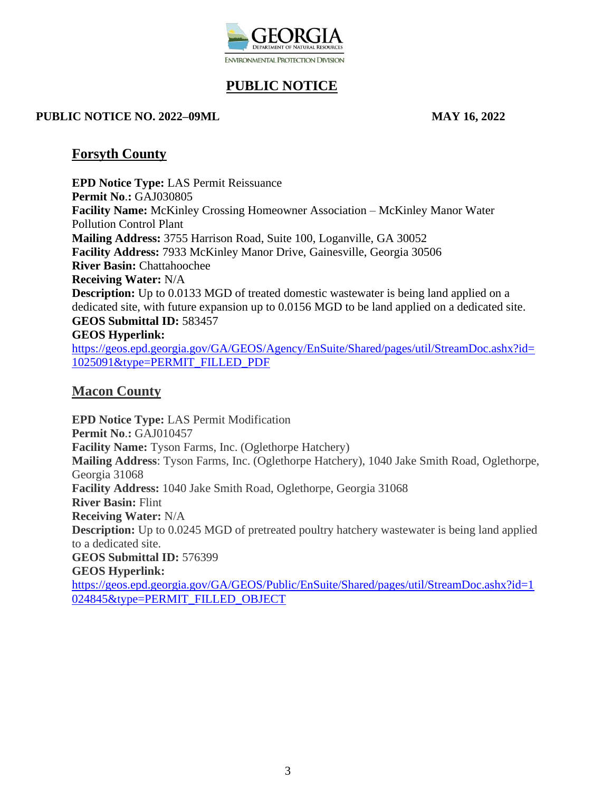

#### **PUBLIC NOTICE NO. 2022–09ML MAY 16, 2022**

### **Forsyth County**

**EPD Notice Type:** LAS Permit Reissuance **Permit No**.**:** GAJ030805 **Facility Name:** McKinley Crossing Homeowner Association – McKinley Manor Water Pollution Control Plant **Mailing Address:** 3755 Harrison Road, Suite 100, Loganville, GA 30052 **Facility Address:** 7933 McKinley Manor Drive, Gainesville, Georgia 30506 **River Basin:** Chattahoochee **Receiving Water:** N/A **Description:** Up to 0.0133 MGD of treated domestic wastewater is being land applied on a dedicated site, with future expansion up to 0.0156 MGD to be land applied on a dedicated site. **GEOS Submittal ID:** 583457 **GEOS Hyperlink:** [https://geos.epd.georgia.gov/GA/GEOS/Agency/EnSuite/Shared/pages/util/StreamDoc.ashx?id=](https://gcc02.safelinks.protection.outlook.com/?url=https%3A%2F%2Fgeos.epd.georgia.gov%2FGA%2FGEOS%2FAgency%2FEnSuite%2FShared%2Fpages%2Futil%2FStreamDoc.ashx%3Fid%3D1025091%26type%3DPERMIT_FILLED_PDF&data=05%7C01%7Candronicki.dorsey%40dnr.ga.gov%7C4ec37fe9cebc4da2b66508da350997cc%7C512da10d071b4b948abc9ec4044d1516%7C0%7C0%7C637880612561568895%7CUnknown%7CTWFpbGZsb3d8eyJWIjoiMC4wLjAwMDAiLCJQIjoiV2luMzIiLCJBTiI6Ik1haWwiLCJXVCI6Mn0%3D%7C3000%7C%7C%7C&sdata=MGZUm4hvY5gncfiFpEbEoZcZSi4WkHt9Dis21AXJTu0%3D&reserved=0) [1025091&type=PERMIT\\_FILLED\\_PDF](https://gcc02.safelinks.protection.outlook.com/?url=https%3A%2F%2Fgeos.epd.georgia.gov%2FGA%2FGEOS%2FAgency%2FEnSuite%2FShared%2Fpages%2Futil%2FStreamDoc.ashx%3Fid%3D1025091%26type%3DPERMIT_FILLED_PDF&data=05%7C01%7Candronicki.dorsey%40dnr.ga.gov%7C4ec37fe9cebc4da2b66508da350997cc%7C512da10d071b4b948abc9ec4044d1516%7C0%7C0%7C637880612561568895%7CUnknown%7CTWFpbGZsb3d8eyJWIjoiMC4wLjAwMDAiLCJQIjoiV2luMzIiLCJBTiI6Ik1haWwiLCJXVCI6Mn0%3D%7C3000%7C%7C%7C&sdata=MGZUm4hvY5gncfiFpEbEoZcZSi4WkHt9Dis21AXJTu0%3D&reserved=0)

## **Macon County**

**EPD Notice Type:** LAS Permit Modification **Permit No**.**:** GAJ010457 **Facility Name:** Tyson Farms, Inc. (Oglethorpe Hatchery) **Mailing Address**: Tyson Farms, Inc. (Oglethorpe Hatchery), 1040 Jake Smith Road, Oglethorpe, Georgia 31068 **Facility Address:** 1040 Jake Smith Road, Oglethorpe, Georgia 31068 **River Basin:** Flint **Receiving Water:** N/A **Description:** Up to 0.0245 MGD of pretreated poultry hatchery wastewater is being land applied to a dedicated site. **GEOS Submittal ID:** 576399 **GEOS Hyperlink:** [https://geos.epd.georgia.gov/GA/GEOS/Public/EnSuite/Shared/pages/util/StreamDoc.ashx?id=1](https://gcc02.safelinks.protection.outlook.com/?url=https%3A%2F%2Fgeos.epd.georgia.gov%2FGA%2FGEOS%2FPublic%2FEnSuite%2FShared%2Fpages%2Futil%2FStreamDoc.ashx%3Fid%3D1024845%26type%3DPERMIT_FILLED_OBJECT&data=05%7C01%7Candronicki.dorsey%40dnr.ga.gov%7C2c541ec92ea648fbc9d008da34586827%7C512da10d071b4b948abc9ec4044d1516%7C0%7C0%7C637879851684599938%7CUnknown%7CTWFpbGZsb3d8eyJWIjoiMC4wLjAwMDAiLCJQIjoiV2luMzIiLCJBTiI6Ik1haWwiLCJXVCI6Mn0%3D%7C3000%7C%7C%7C&sdata=VNWFdoa8Mn2z9FJ%2FCM%2FIKpLj8bmyZ%2BXugCSzZZnDq9U%3D&reserved=0) [024845&type=PERMIT\\_FILLED\\_OBJECT](https://gcc02.safelinks.protection.outlook.com/?url=https%3A%2F%2Fgeos.epd.georgia.gov%2FGA%2FGEOS%2FPublic%2FEnSuite%2FShared%2Fpages%2Futil%2FStreamDoc.ashx%3Fid%3D1024845%26type%3DPERMIT_FILLED_OBJECT&data=05%7C01%7Candronicki.dorsey%40dnr.ga.gov%7C2c541ec92ea648fbc9d008da34586827%7C512da10d071b4b948abc9ec4044d1516%7C0%7C0%7C637879851684599938%7CUnknown%7CTWFpbGZsb3d8eyJWIjoiMC4wLjAwMDAiLCJQIjoiV2luMzIiLCJBTiI6Ik1haWwiLCJXVCI6Mn0%3D%7C3000%7C%7C%7C&sdata=VNWFdoa8Mn2z9FJ%2FCM%2FIKpLj8bmyZ%2BXugCSzZZnDq9U%3D&reserved=0)